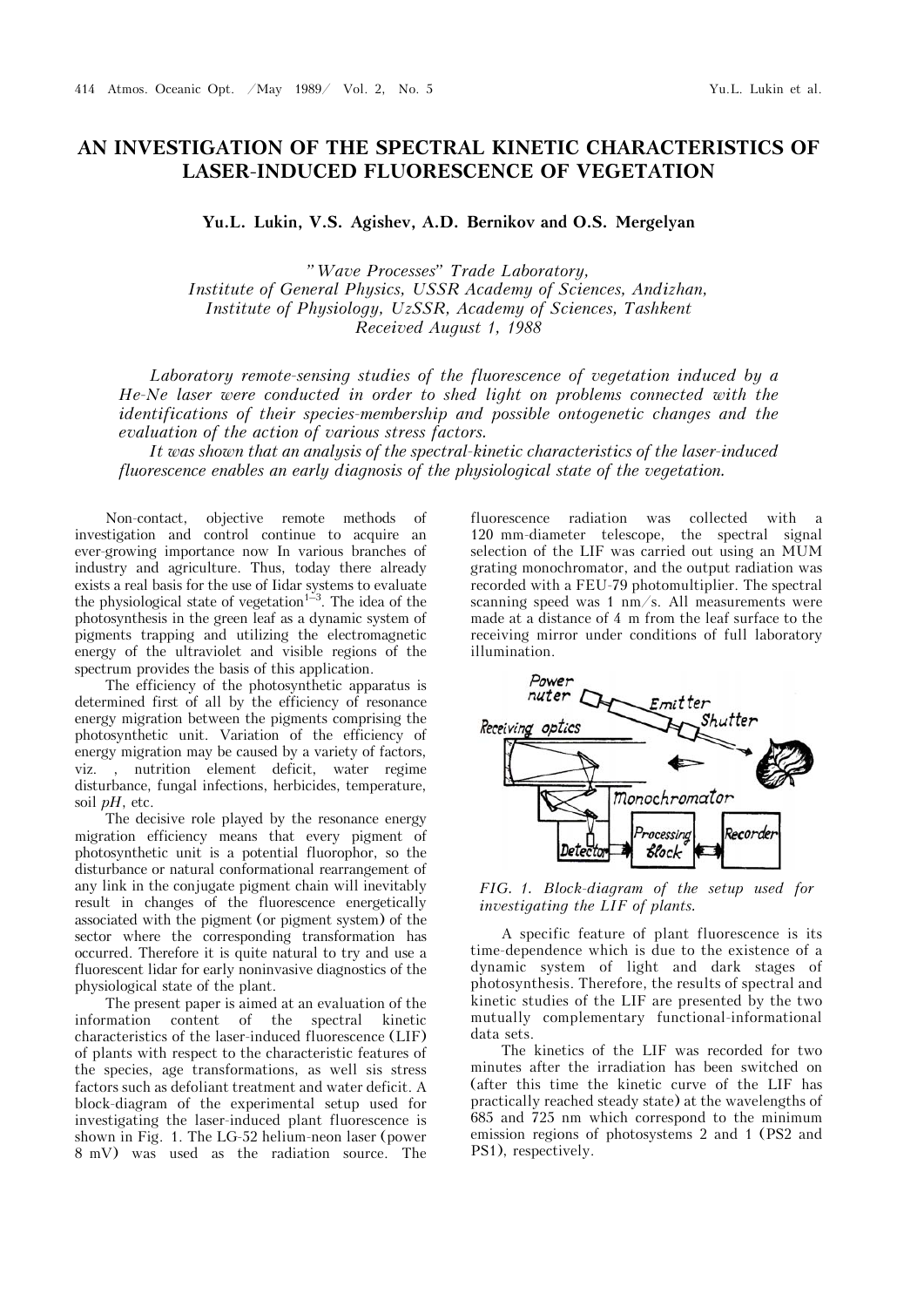## **AN INVESTIGATION OF THE SPECTRAL KINETIC CHARACTERISTICS OF LASER-INDUCED FLUORESCENCE OF VEGETATION**

**Yu.L. Lukin, V.S. Agishev, A.D. Bernikov and O.S. Mergelyan**

*"Wave Processes" Trade Laboratory, Institute of General Physics, USSR Academy of Sciences, Andizhan, Institute of Physiology, UzSSR, Academy of Sciences, Tashkent Received August 1, 1988* 

*Laboratory remote-sensing studies of the fluorescence of vegetation induced by a He-Ne laser were conducted in order to shed light on problems connected with the identifications of their species-membership and possible ontogenetic changes and the evaluation of the action of various stress factors.*

*It was shown that an analysis of the spectral-kinetic characteristics of the laser-induced fluorescence enables an early diagnosis of the physiological state of the vegetation.*

Non-contact, objective remote methods of investigation and control continue to acquire an ever-growing importance now In various branches of industry and agriculture. Thus, today there already exists a real basis for the use of Iidar systems to evaluate the physiological state of vegetation<sup>1–3</sup>. The idea of the photosynthesis in the green leaf as a dynamic system of pigments trapping and utilizing the electromagnetic energy of the ultraviolet and visible regions of the spectrum provides the basis of this application.

The efficiency of the photosynthetic apparatus is determined first of all by the efficiency of resonance energy migration between the pigments comprising the photosynthetic unit. Variation of the efficiency of energy migration may be caused by a variety of factors, viz. , nutrition element deficit, water regime disturbance, fungal infections, herbicides, temperature, soil *pH*, etc.

The decisive role played by the resonance energy migration efficiency means that every pigment of photosynthetic unit is a potential fluorophor, so the disturbance or natural conformational rearrangement of any link in the conjugate pigment chain will inevitably result in changes of the fluorescence energetically associated with the pigment (or pigment system) of the sector where the corresponding transformation has occurred. Therefore it is quite natural to try and use a fluorescent lidar for early noninvasive diagnostics of the physiological state of the plant.

The present paper is aimed at an evaluation of the information content of the spectral kinetic characteristics of the laser-induced fluorescence (LIF) of plants with respect to the characteristic features of the species, age transformations, as well sis stress factors such as defoliant treatment and water deficit. A block-diagram of the experimental setup used for investigating the laser-induced plant fluorescence is shown in Fig. 1. The LG-52 helium-neon laser (power 8 mV) was used as the radiation source. The

fluorescence radiation was collected with a 120 mm-diameter telescope, the spectral signal selection of the LIF was carried out using an MUM grating monochromator, and the output radiation was recorded with a FEU-79 photomultiplier. The spectral scanning speed was 1 nm/s. All measurements were made at a distance of 4 m from the leaf surface to the receiving mirror under conditions of full laboratory illumination.



*FIG. 1. Block-diagram of the setup used for investigating the LIF of plants.*

A specific feature of plant fluorescence is its time-dependence which is due to the existence of a dynamic system of light and dark stages of photosynthesis. Therefore, the results of spectral and kinetic studies of the LIF are presented by the two mutually complementary functional-informational data sets.

The kinetics of the LIF was recorded for two minutes after the irradiation has been switched on (after this time the kinetic curve of the LIF has practically reached steady state) at the wavelengths of 685 and 725 nm which correspond to the minimum emission regions of photosystems 2 and 1 (PS2 and PS1), respectively.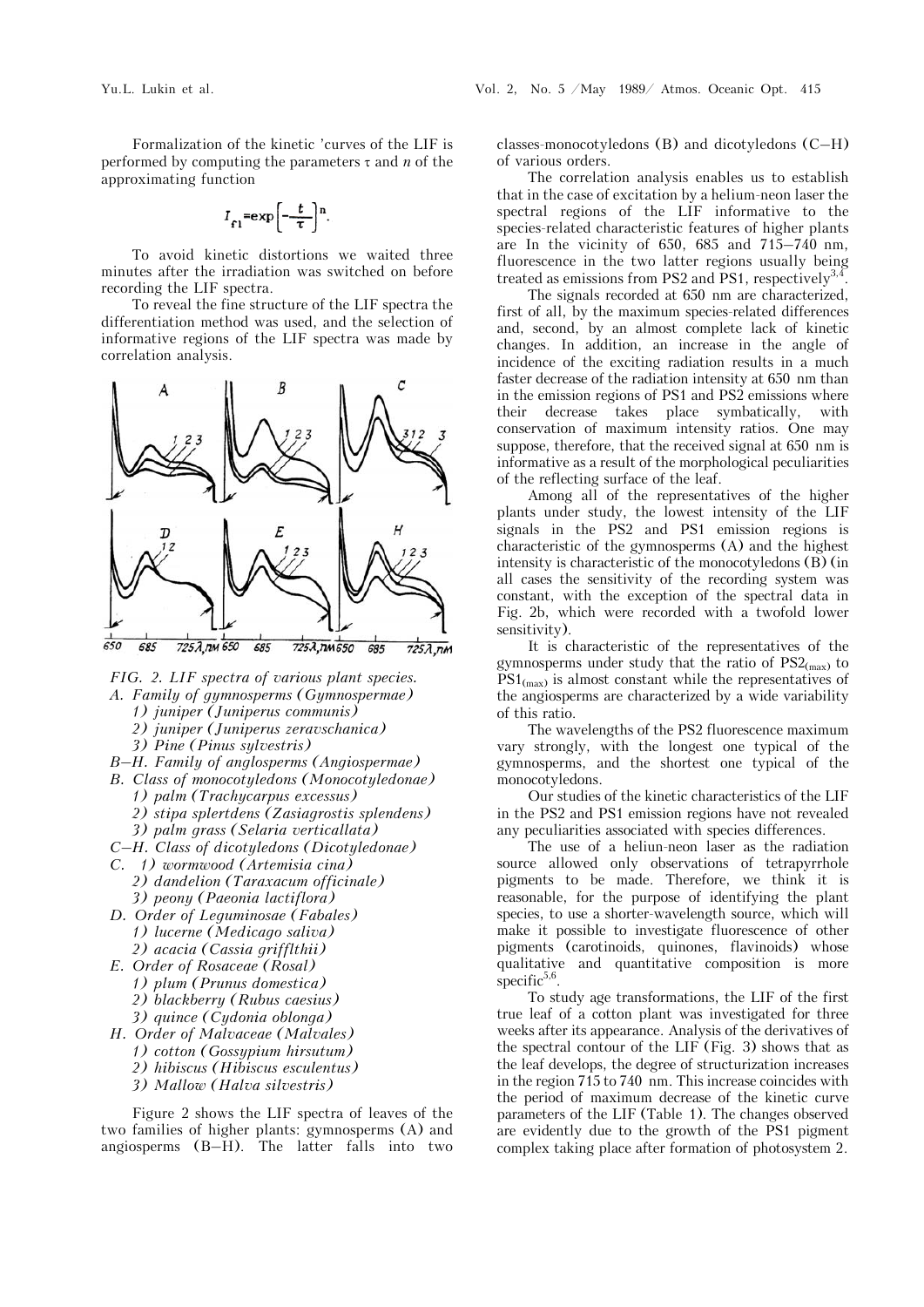Formalization of the kinetic 'curves of the LIF is performed by computing the parameters  $\tau$  and *n* of the approximating function

$$
I_{f1} = \exp\left[-\frac{t}{\tau}\right]^{n}.
$$

To avoid kinetic distortions we waited three minutes after the irradiation was switched on before recording the LIF spectra.

To reveal the fine structure of the LIF spectra the differentiation method was used, and the selection of informative regions of the LIF spectra was made by correlation analysis.



*FIG. 2. LIF spectra of various plant species.* 

- *A. Family of gymnosperms (Gymnospermae)*
	- *1) juniper (Juniperus communis)*
	- *2) juniper (Juniperus zeravschanica)*
	- *3) Pine (Pinus sylvestris)*
- *B–H. Family of anglosperms (Angiospermae)*
- *B. Class of monocotyledons (Monocotyledonae)*
	- *1) palm (Trachycarpus excessus) 2) stipa splertdens (Zasiagrostis splendens)*
	-
	- *3) palm grass (Selaria verticallata)*
- *C–H. Class of dicotyledons (Dicotyledonae)*
- *C. 1) wormwood (Artemisia cina)*
	- *2) dandelion (Taraxacum officinale) 3) peony (Paeonia lactiflora)*
- *D. Order of Leguminosae (Fabales) 1) lucerne (Medicago saliva) 2) acacia (Cassia grifflthii)*
- *E. Order of Rosaceae (Rosal)*
	- *1) plum (Prunus domestica)*
	- *2) blackberry (Rubus caesius)*
	- *3) quince (Cydonia oblonga)*
- *H. Order of Malvaceae (Malvales)*
	- *1) cotton (Gossypium hirsutum)*
		- *2) hibiscus (Hibiscus esculentus)*
		- *3) Mallow (Halva silvestris)*
		-

Figure 2 shows the LIF spectra of leaves of the two families of higher plants: gymnosperms (A) and angiosperms (B–H). The latter falls into two classes-monocotyledons (B) and dicotyledons (C–H) of various orders.

The correlation analysis enables us to establish that in the case of excitation by a helium-neon laser the spectral regions of the LIF informative to the species-related characteristic features of higher plants are In the vicinity of 650, 685 and 715–740 nm, fluorescence in the two latter regions usually being treated as emissions from PS2 and PS1, respectively<sup>3,4</sup>

The signals recorded at 650 nm are characterized, first of all, by the maximum species-related differences and, second, by an almost complete lack of kinetic changes. In addition, an increase in the angle of incidence of the exciting radiation results in a much faster decrease of the radiation intensity at 650 nm than in the emission regions of PS1 and PS2 emissions where their decrease takes place symbatically, with conservation of maximum intensity ratios. One may suppose, therefore, that the received signal at 650 nm is informative as a result of the morphological peculiarities of the reflecting surface of the leaf.

Among all of the representatives of the higher plants under study, the lowest intensity of the LIF signals in the PS2 and PS1 emission regions is characteristic of the gymnosperms (A) and the highest intensity is characteristic of the monocotyledons (B) (in all cases the sensitivity of the recording system was constant, with the exception of the spectral data in Fig. 2b, which were recorded with a twofold lower sensitivity).

It is characteristic of the representatives of the gymnosperms under study that the ratio of  $PS2_{\text{max}}$  to  $PS1_{(\text{max})}$  is almost constant while the representatives of the angiosperms are characterized by a wide variability of this ratio.

The wavelengths of the PS2 fluorescence maximum vary strongly, with the longest one typical of the gymnosperms, and the shortest one typical of the monocotyledons.

Our studies of the kinetic characteristics of the LIF in the PS2 and PS1 emission regions have not revealed any peculiarities associated with species differences.

The use of a heliun-neon laser as the radiation source allowed only observations of tetrapyrrhole pigments to be made. Therefore, we think it is reasonable, for the purpose of identifying the plant species, to use a shorter-wavelength source, which will make it possible to investigate fluorescence of other pigments (carotinoids, quinones, flavinoids) whose qualitative and quantitative composition is more specific $5,6$ .

To study age transformations, the LIF of the first true leaf of a cotton plant was investigated for three weeks after its appearance. Analysis of the derivatives of the spectral contour of the LIF (Fig. 3) shows that as the leaf develops, the degree of structurization increases in the region 715 to 740 nm. This increase coincides with the period of maximum decrease of the kinetic curve parameters of the LIF (Table 1). The changes observed are evidently due to the growth of the PS1 pigment complex taking place after formation of photosystem 2.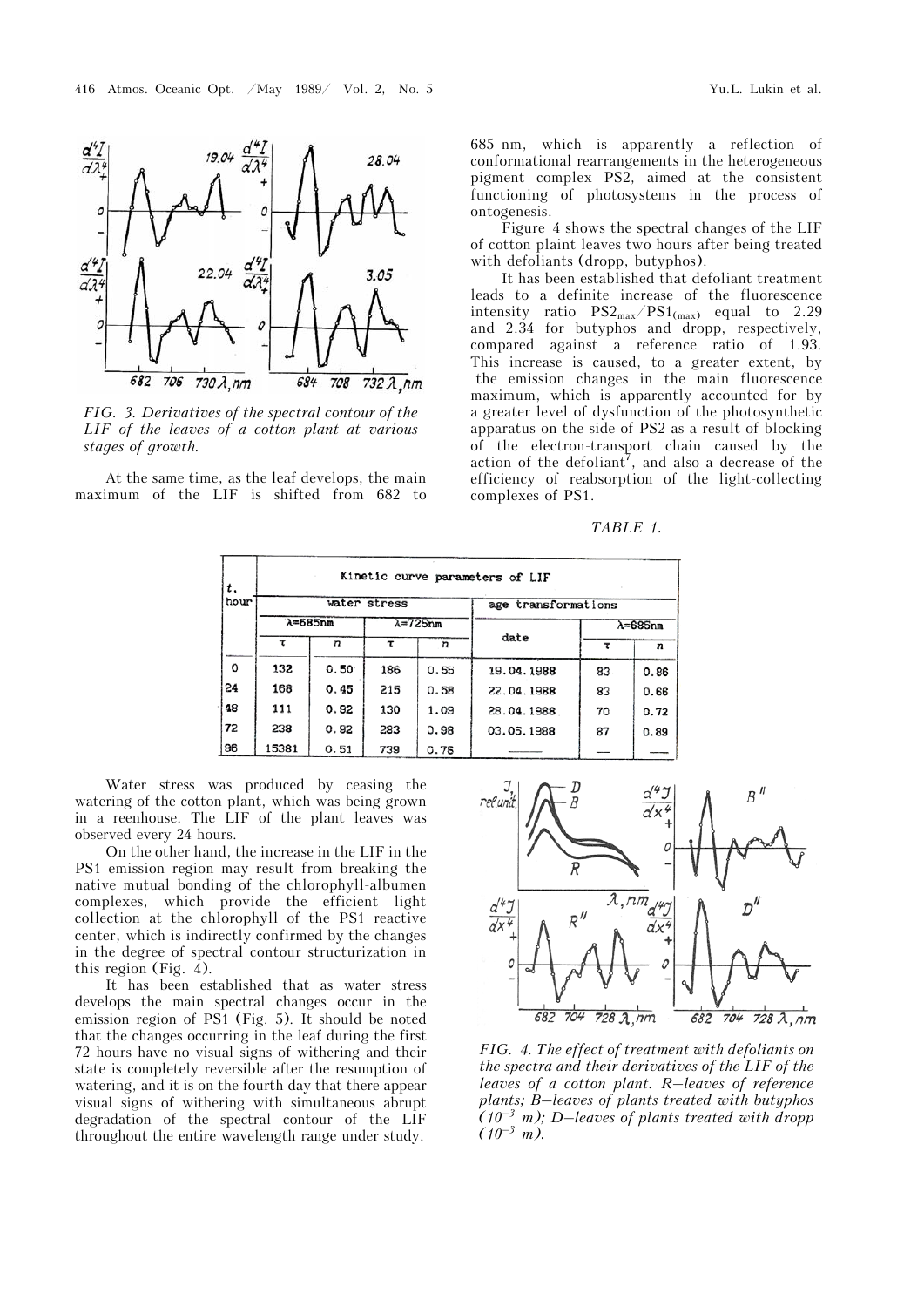

*FIG. 3. Derivatives of the spectral contour of the LIF of the leaves of a cotton plant at various stages of growth.*

At the same time, as the leaf develops, the main maximum of the LIF is shifted from 682 to 685 nm, which is apparently a reflection of conformational rearrangements in the heterogeneous pigment complex PS2, aimed at the consistent functioning of photosystems in the process of ontogenesis.

Figure 4 shows the spectral changes of the LIF of cotton plaint leaves two hours after being treated with defoliants (dropp, butyphos).

It has been established that defoliant treatment leads to a definite increase of the fluorescence intensity ratio  $PS2_{max}/PS1_{(max)}$  equal to 2.29 and 2.34 for butyphos and dropp, respectively, compared against a reference ratio of 1.93. This increase is caused, to a greater extent, by the emission changes in the main fluorescence maximum, which is apparently accounted for by a greater level of dysfunction of the photosynthetic apparatus on the side of PS2 as a result of blocking of the electron-transport chain caused by the action of the defoliant<sup>7</sup>, and also a decrease of the efficiency of reabsorption of the light-collecting complexes of PS1.

*TABLE 1.*

| t,<br>hour | Kinetic curve parameters of LIF |                |                    |      |                     |                    |      |
|------------|---------------------------------|----------------|--------------------|------|---------------------|--------------------|------|
|            | water stress                    |                |                    |      | age transformations |                    |      |
|            | $\lambda = 685$ nm              |                | $\lambda = 725$ nm |      |                     | $\lambda = 685$ nm |      |
|            | τ                               | n              | τ                  | n    | date                | τ                  | n    |
| O          | 132                             | $0.50^{\circ}$ | 186                | 0.55 | 19.04.1988          | 83                 | 0.86 |
| 24         | 168                             | 0.45           | 215                | 0.58 | 22.04.1988          | 83                 | 0.66 |
| 48         | 111                             | 0.92           | 130                | 1.09 | 28.04.1988          | 70                 | 0.72 |
| 72         | 238                             | 0.92           | 283                | 0.98 | 03.05.1988          | 87                 | 0.89 |
| 96         | 15381                           | 0.51           | 739                | 0.78 |                     |                    |      |

Water stress was produced by ceasing the watering of the cotton plant, which was being grown in a reenhouse. The LIF of the plant leaves was observed every 24 hours.

On the other hand, the increase in the LIF in the PS1 emission region may result from breaking the native mutual bonding of the chlorophyll-albumen complexes, which provide the efficient light collection at the chlorophyll of the PS1 reactive center, which is indirectly confirmed by the changes in the degree of spectral contour structurization in this region (Fig. 4).

It has been established that as water stress develops the main spectral changes occur in the emission region of PS1 (Fig. 5). It should be noted that the changes occurring in the leaf during the first 72 hours have no visual signs of withering and their state is completely reversible after the resumption of watering, and it is on the fourth day that there appear visual signs of withering with simultaneous abrupt degradation of the spectral contour of the LIF throughout the entire wavelength range under study.



*FIG. 4. The effect of treatment with defoliants on the spectra and their derivatives of the LIF of the leaves of a cotton plant. R–leaves of reference plants; B–leaves of plants treated with butyphos (10–3 m); D*–*leaves of plants treated with dropp*   $(10^{-3} \text{ m})$ .